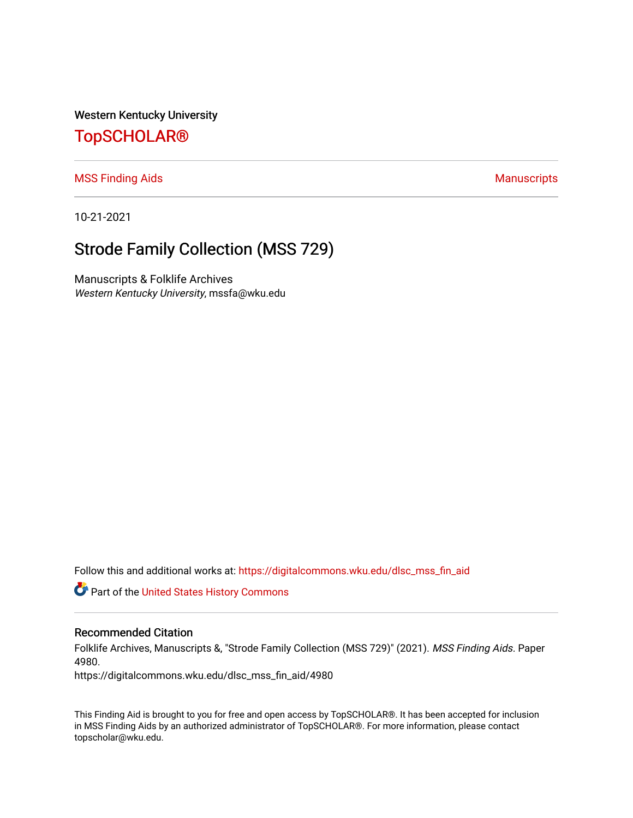Western Kentucky University

## [TopSCHOLAR®](https://digitalcommons.wku.edu/)

### [MSS Finding Aids](https://digitalcommons.wku.edu/dlsc_mss_fin_aid) **Manuscripts** [Manuscripts](https://digitalcommons.wku.edu/dlsc_mss) **Manuscripts**

10-21-2021

# Strode Family Collection (MSS 729)

Manuscripts & Folklife Archives Western Kentucky University, mssfa@wku.edu

Follow this and additional works at: [https://digitalcommons.wku.edu/dlsc\\_mss\\_fin\\_aid](https://digitalcommons.wku.edu/dlsc_mss_fin_aid?utm_source=digitalcommons.wku.edu%2Fdlsc_mss_fin_aid%2F4980&utm_medium=PDF&utm_campaign=PDFCoverPages) 

**C** Part of the United States History Commons

### Recommended Citation

Folklife Archives, Manuscripts &, "Strode Family Collection (MSS 729)" (2021). MSS Finding Aids. Paper 4980.

https://digitalcommons.wku.edu/dlsc\_mss\_fin\_aid/4980

This Finding Aid is brought to you for free and open access by TopSCHOLAR®. It has been accepted for inclusion in MSS Finding Aids by an authorized administrator of TopSCHOLAR®. For more information, please contact topscholar@wku.edu.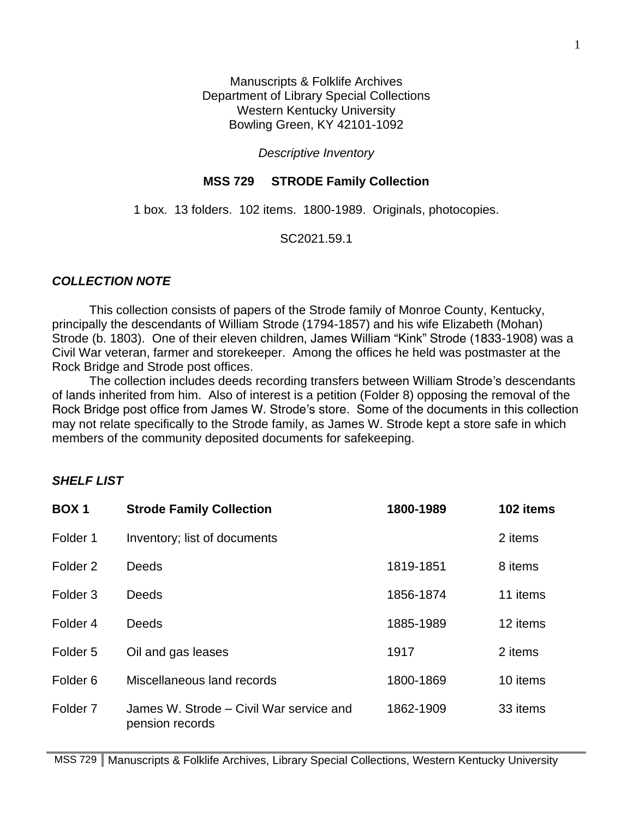Manuscripts & Folklife Archives Department of Library Special Collections Western Kentucky University Bowling Green, KY 42101-1092

## *Descriptive Inventory*

## **MSS 729 STRODE Family Collection**

1 box. 13 folders. 102 items. 1800-1989. Originals, photocopies.

SC2021.59.1

## *COLLECTION NOTE*

This collection consists of papers of the Strode family of Monroe County, Kentucky, principally the descendants of William Strode (1794-1857) and his wife Elizabeth (Mohan) Strode (b. 1803). One of their eleven children, James William "Kink" Strode (1833-1908) was a Civil War veteran, farmer and storekeeper. Among the offices he held was postmaster at the Rock Bridge and Strode post offices.

The collection includes deeds recording transfers between William Strode's descendants of lands inherited from him. Also of interest is a petition (Folder 8) opposing the removal of the Rock Bridge post office from James W. Strode's store. Some of the documents in this collection may not relate specifically to the Strode family, as James W. Strode kept a store safe in which members of the community deposited documents for safekeeping.

## *SHELF LIST*

| <b>BOX1</b>         | <b>Strode Family Collection</b>                            | 1800-1989 | 102 items |
|---------------------|------------------------------------------------------------|-----------|-----------|
| Folder 1            | Inventory; list of documents                               |           | 2 items   |
| Folder <sub>2</sub> | <b>Deeds</b>                                               | 1819-1851 | 8 items   |
| Folder <sub>3</sub> | <b>Deeds</b>                                               | 1856-1874 | 11 items  |
| Folder <sub>4</sub> | <b>Deeds</b>                                               | 1885-1989 | 12 items  |
| Folder <sub>5</sub> | Oil and gas leases                                         | 1917      | 2 items   |
| Folder <sub>6</sub> | Miscellaneous land records                                 | 1800-1869 | 10 items  |
| Folder <sub>7</sub> | James W. Strode – Civil War service and<br>pension records | 1862-1909 | 33 items  |